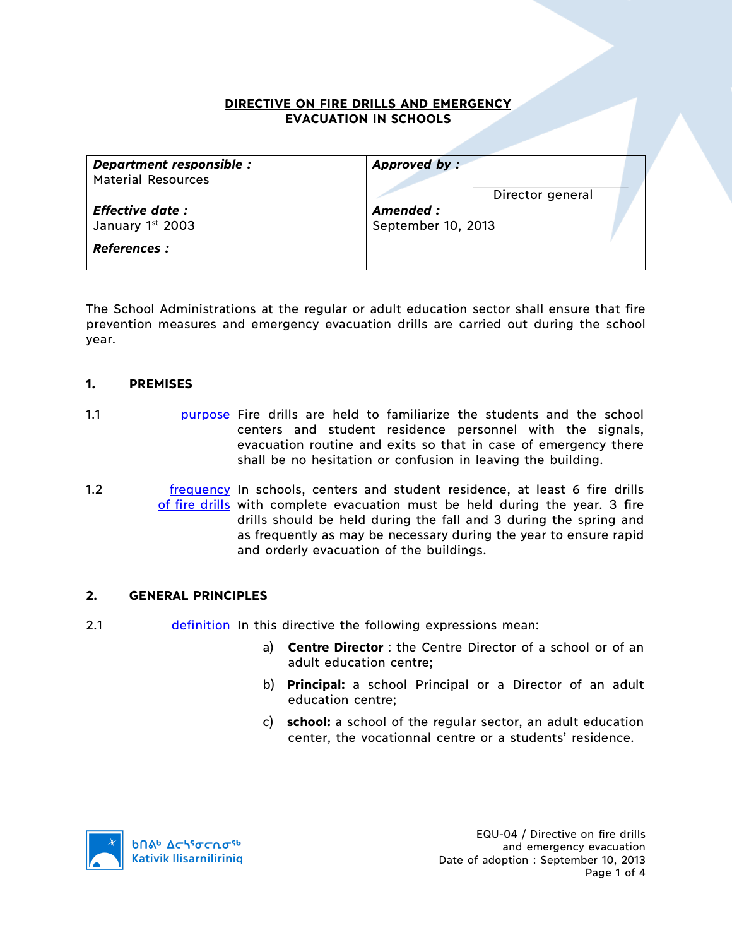## **DIRECTIVE ON FIRE DRILLS AND EMERGENCY EVACUATION IN SCHOOLS**

| Department responsible :  | Approved by:       |
|---------------------------|--------------------|
| <b>Material Resources</b> | Director general   |
| <b>Effective date:</b>    | Amended :          |
| January 1st 2003          | September 10, 2013 |
| <b>References :</b>       |                    |

The School Administrations at the regular or adult education sector shall ensure that fire prevention measures and emergency evacuation drills are carried out during the school year.

## **1. PREMISES**

- 1.1 purpose Fire drills are held to familiarize the students and the school centers and student residence personnel with the signals, evacuation routine and exits so that in case of emergency there shall be no hesitation or confusion in leaving the building.
- 1.2 **frequency** In schools, centers and student residence, at least 6 fire drills of fire drills with complete evacuation must be held during the year. 3 fire drills should be held during the fall and 3 during the spring and as frequently as may be necessary during the year to ensure rapid and orderly evacuation of the buildings.

#### **2. GENERAL PRINCIPLES**

- 2.1 definition In this directive the following expressions mean:
	- a) **Centre Director** : the Centre Director of a school or of an adult education centre;
	- b) **Principal:** a school Principal or a Director of an adult education centre;
	- c) **school:** a school of the regular sector, an adult education center, the vocationnal centre or a students' residence.

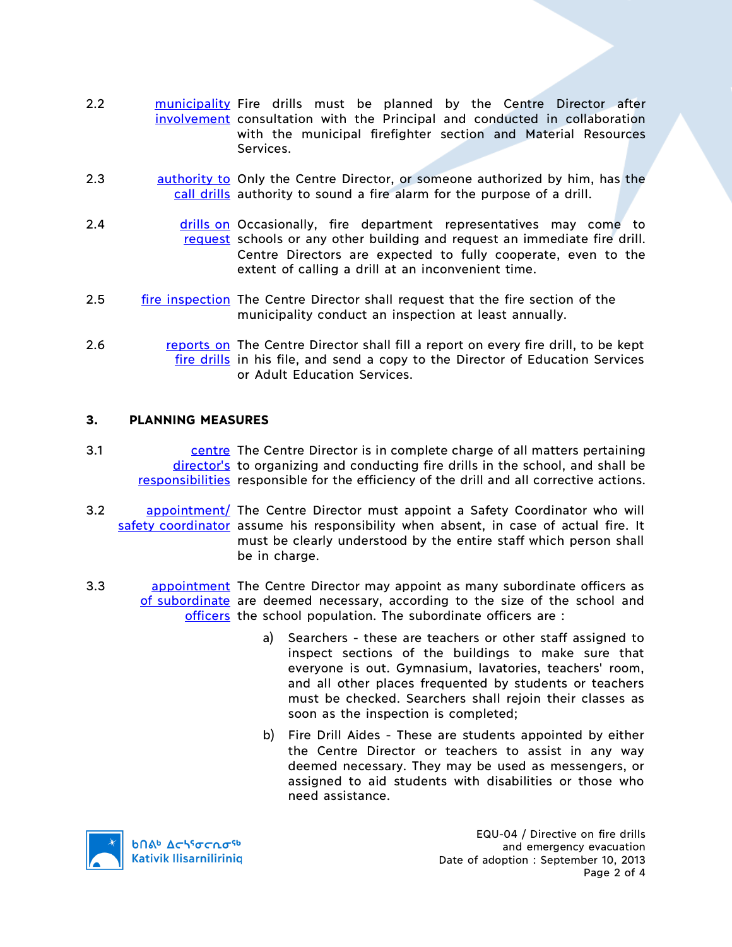- 2.2 **municipality Fire drills must be planned by the Centre Director after** involvement consultation with the Principal and conducted in collaboration with the municipal firefighter section and Material Resources Services.
- 2.3 authority to Only the Centre Director, or someone authorized by him, has the call drills authority to sound a fire alarm for the purpose of a drill.
- 2.4 **drills on Occasionally, fire department representatives may come to** request schools or any other building and request an immediate fire drill. Centre Directors are expected to fully cooperate, even to the extent of calling a drill at an inconvenient time.
- 2.5 fire inspection The Centre Director shall request that the fire section of the municipality conduct an inspection at least annually.
- 2.6 **reports on The Centre Director shall fill a report on every fire drill, to be kept** fire drills in his file, and send a copy to the Director of Education Services or Adult Education Services.

#### **3. PLANNING MEASURES**

- 3.1 **EXECUTE:** Centre Director is in complete charge of all matters pertaining director's to organizing and conducting fire drills in the school, and shall be responsibilities responsible for the efficiency of the drill and all corrective actions.
- 3.2 appointment/ The Centre Director must appoint a Safety Coordinator who will safety coordinator assume his responsibility when absent, in case of actual fire. It must be clearly understood by the entire staff which person shall be in charge.
- 3.3 **appointment** The Centre Director may appoint as many subordinate officers as of subordinate are deemed necessary, according to the size of the school and officers the school population. The subordinate officers are:
	- a) Searchers these are teachers or other staff assigned to inspect sections of the buildings to make sure that everyone is out. Gymnasium, lavatories, teachers' room, and all other places frequented by students or teachers must be checked. Searchers shall rejoin their classes as soon as the inspection is completed;
	- b) Fire Drill Aides These are students appointed by either the Centre Director or teachers to assist in any way deemed necessary. They may be used as messengers, or assigned to aid students with disabilities or those who need assistance.



EQU-04 / Directive on fire drills and emergency evacuation Date of adoption : September 10, 2013 Page 2 of 4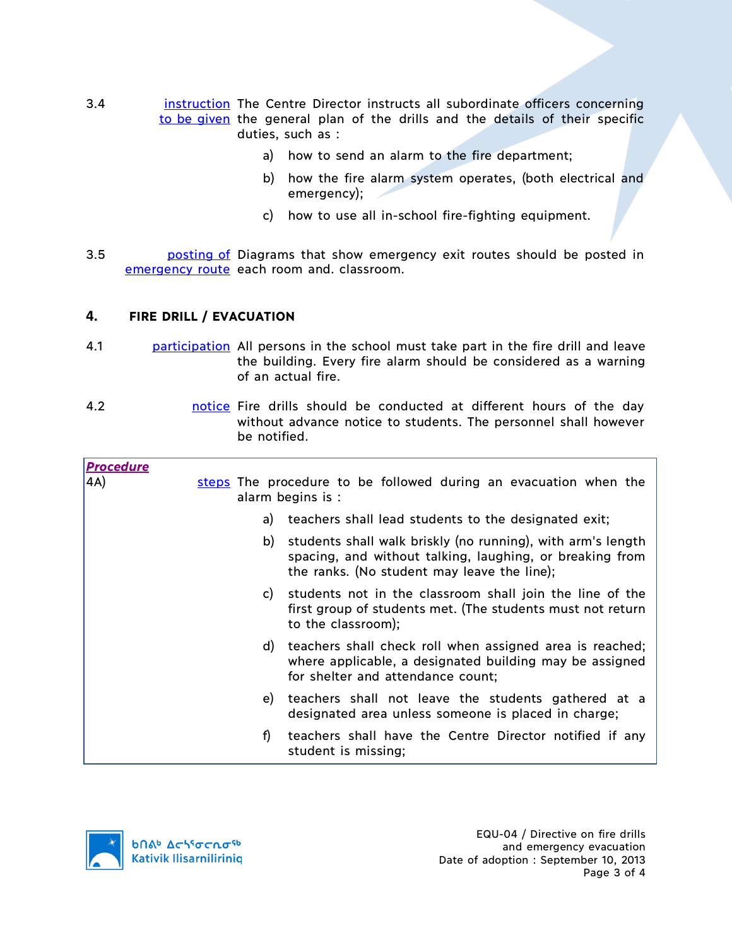- 3.4 **instruction** The Centre Director instructs all subordinate officers concerning to be given the general plan of the drills and the details of their specific duties, such as :
	- a) how to send an alarm to the fire department;
	- b) how the fire alarm system operates, (both electrical and emergency);
	- c) how to use all in-school fire-fighting equipment.
- 3.5 **budge by posting of Diagrams that show emergency exit routes should be posted in** emergency route each room and. classroom.

## **4. FIRE DRILL / EVACUATION**

- 4.1 participation All persons in the school must take part in the fire drill and leave the building. Every fire alarm should be considered as a warning of an actual fire.
- 4.2 notice Fire drills should be conducted at different hours of the day without advance notice to students. The personnel shall however be notified.

| <u>Procedure</u> |    |                                                                                                                                                                        |  |
|------------------|----|------------------------------------------------------------------------------------------------------------------------------------------------------------------------|--|
| 4A)              |    | steps The procedure to be followed during an evacuation when the<br>alarm begins is :                                                                                  |  |
|                  | a) | teachers shall lead students to the designated exit;                                                                                                                   |  |
|                  | b) | students shall walk briskly (no running), with arm's length<br>spacing, and without talking, laughing, or breaking from<br>the ranks. (No student may leave the line); |  |
|                  | C) | students not in the classroom shall join the line of the<br>first group of students met. (The students must not return<br>to the classroom);                           |  |
|                  | d) | teachers shall check roll when assigned area is reached;<br>where applicable, a designated building may be assigned<br>for shelter and attendance count;               |  |
|                  | e) | teachers shall not leave the students gathered at a<br>designated area unless someone is placed in charge;                                                             |  |
|                  | f) | teachers shall have the Centre Director notified if any<br>student is missing;                                                                                         |  |
|                  |    |                                                                                                                                                                        |  |